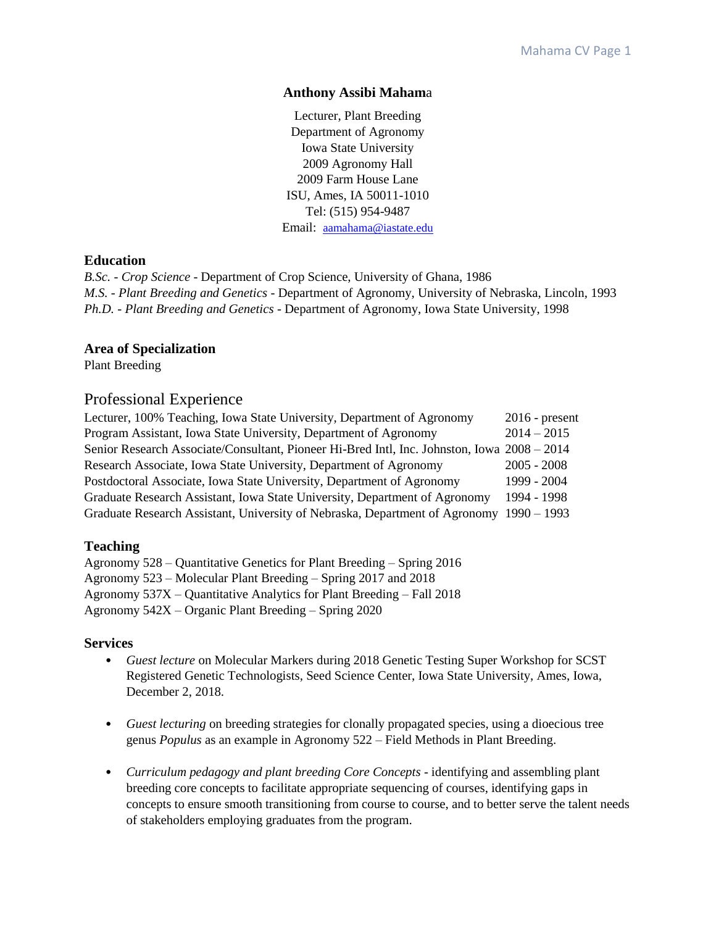### **Anthony Assibi Maham**a

Lecturer, Plant Breeding Department of Agronomy Iowa State University 2009 Agronomy Hall 2009 Farm House Lane ISU, Ames, IA 50011-1010 Tel: (515) 954-9487 Email: [aamahama@iastate.edu](mailto:aamahama@iastate.edu)

# **Education**

*B.Sc. - Crop Science* - Department of Crop Science, University of Ghana, 1986 *M.S. - Plant Breeding and Genetics* - Department of Agronomy, University of Nebraska, Lincoln, 1993 *Ph.D. - Plant Breeding and Genetics* - Department of Agronomy, Iowa State University, 1998

## **Area of Specialization**

Plant Breeding

# Professional Experience

| Lecturer, 100% Teaching, Iowa State University, Department of Agronomy                      | $2016$ - present |
|---------------------------------------------------------------------------------------------|------------------|
| Program Assistant, Iowa State University, Department of Agronomy                            | $2014 - 2015$    |
| Senior Research Associate/Consultant, Pioneer Hi-Bred Intl, Inc. Johnston, Iowa 2008 – 2014 |                  |
| Research Associate, Iowa State University, Department of Agronomy                           | $2005 - 2008$    |
| Postdoctoral Associate, Iowa State University, Department of Agronomy                       | 1999 - 2004      |
| Graduate Research Assistant, Iowa State University, Department of Agronomy                  | 1994 - 1998      |
| Graduate Research Assistant, University of Nebraska, Department of Agronomy 1990 – 1993     |                  |

# **Teaching**

Agronomy 528 – Quantitative Genetics for Plant Breeding – Spring 2016 Agronomy 523 – Molecular Plant Breeding – Spring 2017 and 2018 Agronomy 537X – Quantitative Analytics for Plant Breeding – Fall 2018 Agronomy 542X – Organic Plant Breeding – Spring 2020

### **Services**

- *Guest lecture* on Molecular Markers during 2018 Genetic Testing Super Workshop for SCST Registered Genetic Technologists, Seed Science Center, Iowa State University, Ames, Iowa, December 2, 2018.
- *Guest lecturing* on breeding strategies for clonally propagated species, using a dioecious tree genus *Populus* as an example in Agronomy 522 – Field Methods in Plant Breeding.
- *Curriculum pedagogy and plant breeding Core Concepts* identifying and assembling plant breeding core concepts to facilitate appropriate sequencing of courses, identifying gaps in concepts to ensure smooth transitioning from course to course, and to better serve the talent needs of stakeholders employing graduates from the program.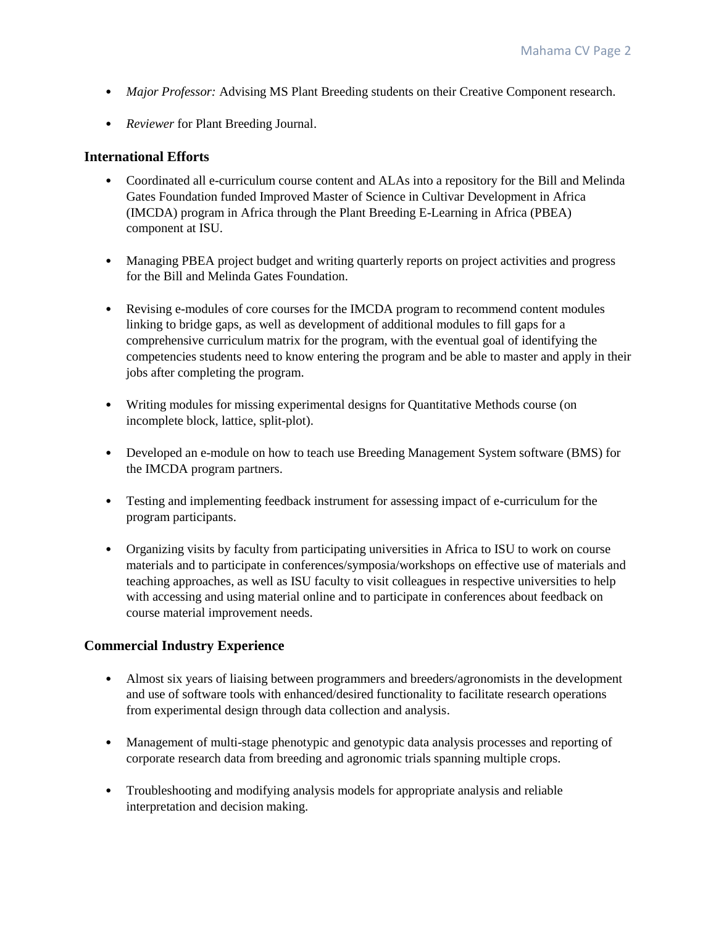- *Major Professor:* Advising MS Plant Breeding students on their Creative Component research.
- *Reviewer* for Plant Breeding Journal.

## **International Efforts**

- Coordinated all e-curriculum course content and ALAs into a repository for the Bill and Melinda Gates Foundation funded Improved Master of Science in Cultivar Development in Africa (IMCDA) program in Africa through the Plant Breeding E-Learning in Africa (PBEA) component at ISU.
- Managing PBEA project budget and writing quarterly reports on project activities and progress for the Bill and Melinda Gates Foundation.
- Revising e-modules of core courses for the IMCDA program to recommend content modules linking to bridge gaps, as well as development of additional modules to fill gaps for a comprehensive curriculum matrix for the program, with the eventual goal of identifying the competencies students need to know entering the program and be able to master and apply in their jobs after completing the program.
- Writing modules for missing experimental designs for Quantitative Methods course (on incomplete block, lattice, split-plot).
- Developed an e-module on how to teach use Breeding Management System software (BMS) for the IMCDA program partners.
- Testing and implementing feedback instrument for assessing impact of e-curriculum for the program participants.
- Organizing visits by faculty from participating universities in Africa to ISU to work on course materials and to participate in conferences/symposia/workshops on effective use of materials and teaching approaches, as well as ISU faculty to visit colleagues in respective universities to help with accessing and using material online and to participate in conferences about feedback on course material improvement needs.

# **Commercial Industry Experience**

- Almost six years of liaising between programmers and breeders/agronomists in the development and use of software tools with enhanced/desired functionality to facilitate research operations from experimental design through data collection and analysis.
- Management of multi-stage phenotypic and genotypic data analysis processes and reporting of corporate research data from breeding and agronomic trials spanning multiple crops.
- Troubleshooting and modifying analysis models for appropriate analysis and reliable interpretation and decision making.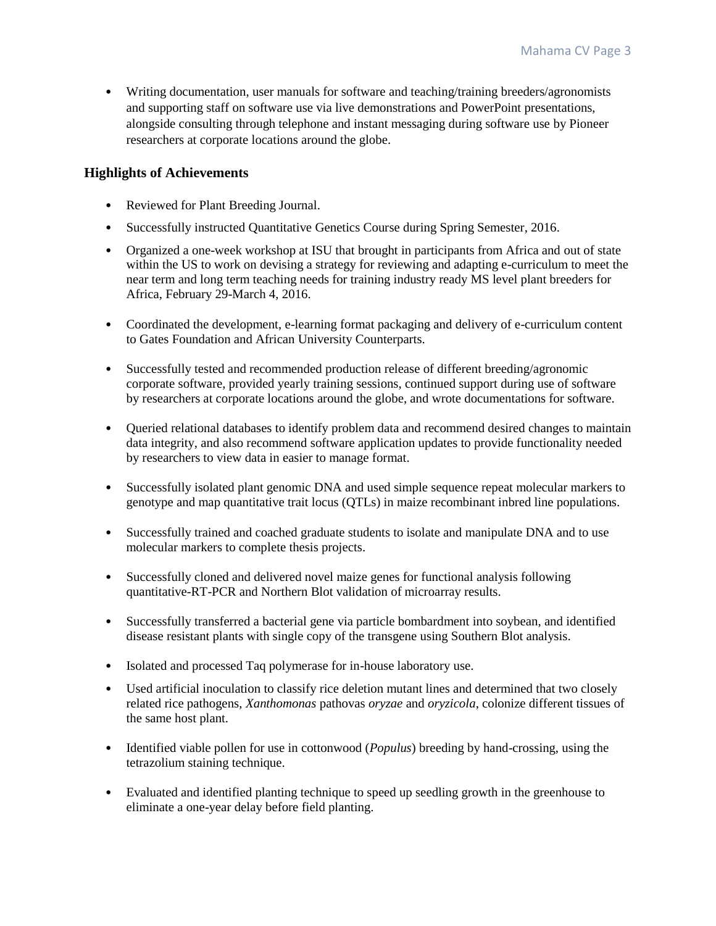• Writing documentation, user manuals for software and teaching/training breeders/agronomists and supporting staff on software use via live demonstrations and PowerPoint presentations, alongside consulting through telephone and instant messaging during software use by Pioneer researchers at corporate locations around the globe.

# **Highlights of Achievements**

- Reviewed for Plant Breeding Journal.
- Successfully instructed Quantitative Genetics Course during Spring Semester, 2016.
- Organized a one-week workshop at ISU that brought in participants from Africa and out of state within the US to work on devising a strategy for reviewing and adapting e-curriculum to meet the near term and long term teaching needs for training industry ready MS level plant breeders for Africa, February 29-March 4, 2016.
- Coordinated the development, e-learning format packaging and delivery of e-curriculum content to Gates Foundation and African University Counterparts.
- Successfully tested and recommended production release of different breeding/agronomic corporate software, provided yearly training sessions, continued support during use of software by researchers at corporate locations around the globe, and wrote documentations for software.
- Queried relational databases to identify problem data and recommend desired changes to maintain data integrity, and also recommend software application updates to provide functionality needed by researchers to view data in easier to manage format.
- Successfully isolated plant genomic DNA and used simple sequence repeat molecular markers to genotype and map quantitative trait locus (QTLs) in maize recombinant inbred line populations.
- Successfully trained and coached graduate students to isolate and manipulate DNA and to use molecular markers to complete thesis projects.
- Successfully cloned and delivered novel maize genes for functional analysis following quantitative-RT-PCR and Northern Blot validation of microarray results.
- Successfully transferred a bacterial gene via particle bombardment into soybean, and identified disease resistant plants with single copy of the transgene using Southern Blot analysis.
- Isolated and processed Taq polymerase for in-house laboratory use.
- Used artificial inoculation to classify rice deletion mutant lines and determined that two closely related rice pathogens, *Xanthomonas* pathovas *oryzae* and *oryzicola*, colonize different tissues of the same host plant.
- Identified viable pollen for use in cottonwood (*Populus*) breeding by hand-crossing, using the tetrazolium staining technique.
- Evaluated and identified planting technique to speed up seedling growth in the greenhouse to eliminate a one-year delay before field planting.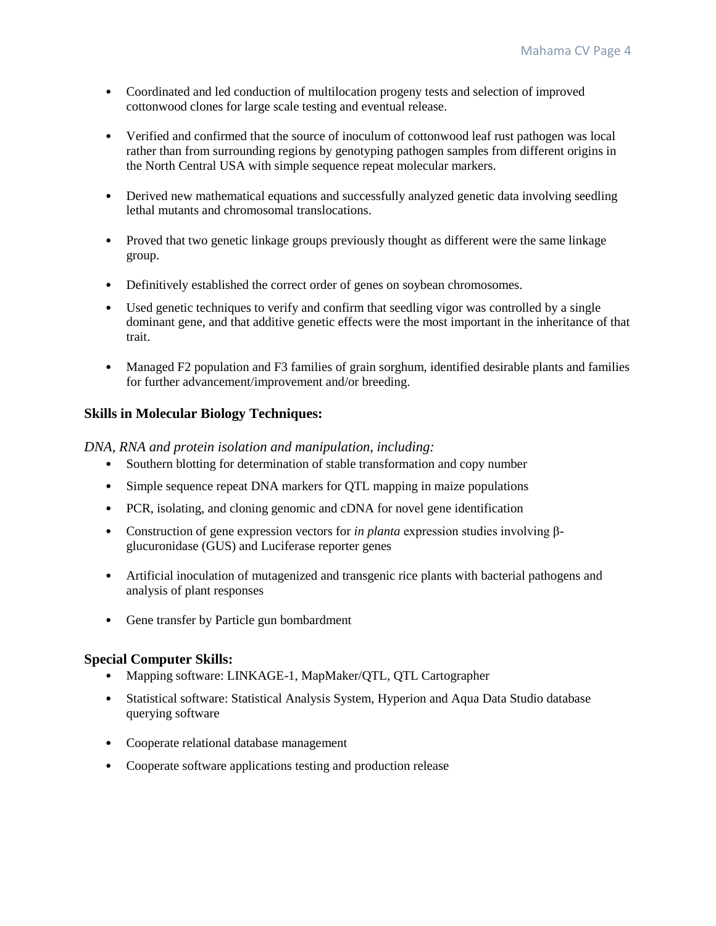- Coordinated and led conduction of multilocation progeny tests and selection of improved cottonwood clones for large scale testing and eventual release.
- Verified and confirmed that the source of inoculum of cottonwood leaf rust pathogen was local rather than from surrounding regions by genotyping pathogen samples from different origins in the North Central USA with simple sequence repeat molecular markers.
- Derived new mathematical equations and successfully analyzed genetic data involving seedling lethal mutants and chromosomal translocations.
- Proved that two genetic linkage groups previously thought as different were the same linkage group.
- Definitively established the correct order of genes on soybean chromosomes.
- Used genetic techniques to verify and confirm that seedling vigor was controlled by a single dominant gene, and that additive genetic effects were the most important in the inheritance of that trait.
- Managed F2 population and F3 families of grain sorghum, identified desirable plants and families for further advancement/improvement and/or breeding.

# **Skills in Molecular Biology Techniques:**

*DNA, RNA and protein isolation and manipulation, including:*

- Southern blotting for determination of stable transformation and copy number
- Simple sequence repeat DNA markers for QTL mapping in maize populations
- PCR, isolating, and cloning genomic and cDNA for novel gene identification
- Construction of gene expression vectors for *in planta* expression studies involving βglucuronidase (GUS) and Luciferase reporter genes
- Artificial inoculation of mutagenized and transgenic rice plants with bacterial pathogens and analysis of plant responses
- Gene transfer by Particle gun bombardment

# **Special Computer Skills:**

- Mapping software: LINKAGE-1, MapMaker/QTL, QTL Cartographer
- Statistical software: Statistical Analysis System, Hyperion and Aqua Data Studio database querying software
- Cooperate relational database management
- Cooperate software applications testing and production release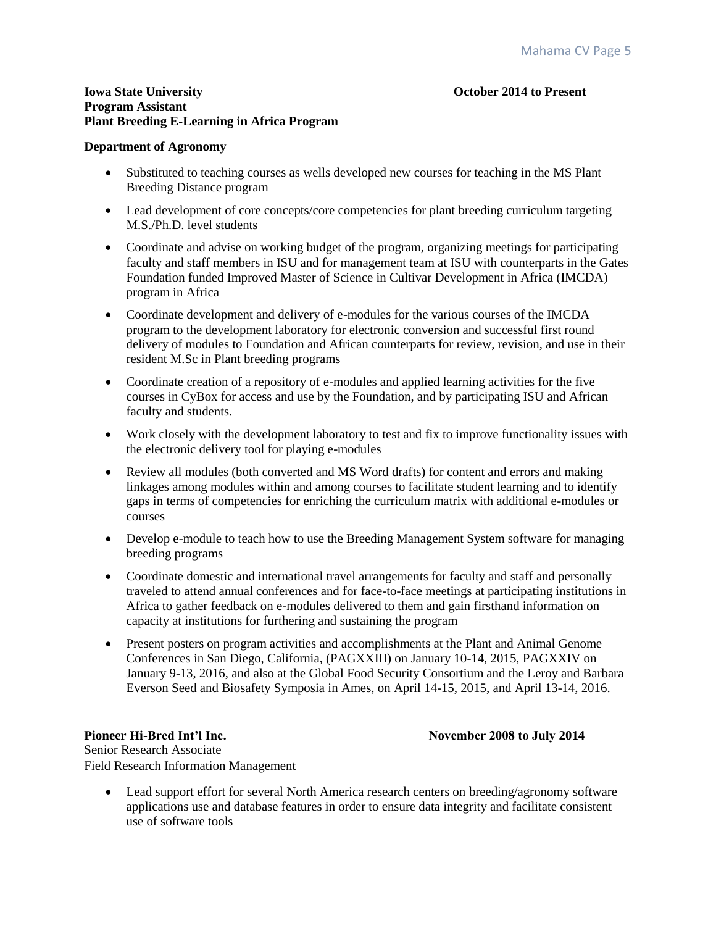#### **Iowa State University Community Community Community Community Community Community Community Community Community Community Community Community Community Community Community Community Community Community Community Community Program Assistant Plant Breeding E-Learning in Africa Program**

#### **Department of Agronomy**

- Substituted to teaching courses as wells developed new courses for teaching in the MS Plant Breeding Distance program
- Lead development of core concepts/core competencies for plant breeding curriculum targeting M.S./Ph.D. level students
- Coordinate and advise on working budget of the program, organizing meetings for participating faculty and staff members in ISU and for management team at ISU with counterparts in the Gates Foundation funded Improved Master of Science in Cultivar Development in Africa (IMCDA) program in Africa
- Coordinate development and delivery of e-modules for the various courses of the IMCDA program to the development laboratory for electronic conversion and successful first round delivery of modules to Foundation and African counterparts for review, revision, and use in their resident M.Sc in Plant breeding programs
- Coordinate creation of a repository of e-modules and applied learning activities for the five courses in CyBox for access and use by the Foundation, and by participating ISU and African faculty and students.
- Work closely with the development laboratory to test and fix to improve functionality issues with the electronic delivery tool for playing e-modules
- Review all modules (both converted and MS Word drafts) for content and errors and making linkages among modules within and among courses to facilitate student learning and to identify gaps in terms of competencies for enriching the curriculum matrix with additional e-modules or courses
- Develop e-module to teach how to use the Breeding Management System software for managing breeding programs
- Coordinate domestic and international travel arrangements for faculty and staff and personally traveled to attend annual conferences and for face-to-face meetings at participating institutions in Africa to gather feedback on e-modules delivered to them and gain firsthand information on capacity at institutions for furthering and sustaining the program
- Present posters on program activities and accomplishments at the Plant and Animal Genome Conferences in San Diego, California, (PAGXXIII) on January 10-14, 2015, PAGXXIV on January 9-13, 2016, and also at the Global Food Security Consortium and the Leroy and Barbara Everson Seed and Biosafety Symposia in Ames, on April 14-15, 2015, and April 13-14, 2016.

**Pioneer Hi-Bred Int'l Inc. November 2008 to July 2014**

Senior Research Associate Field Research Information Management

• Lead support effort for several North America research centers on breeding/agronomy software applications use and database features in order to ensure data integrity and facilitate consistent use of software tools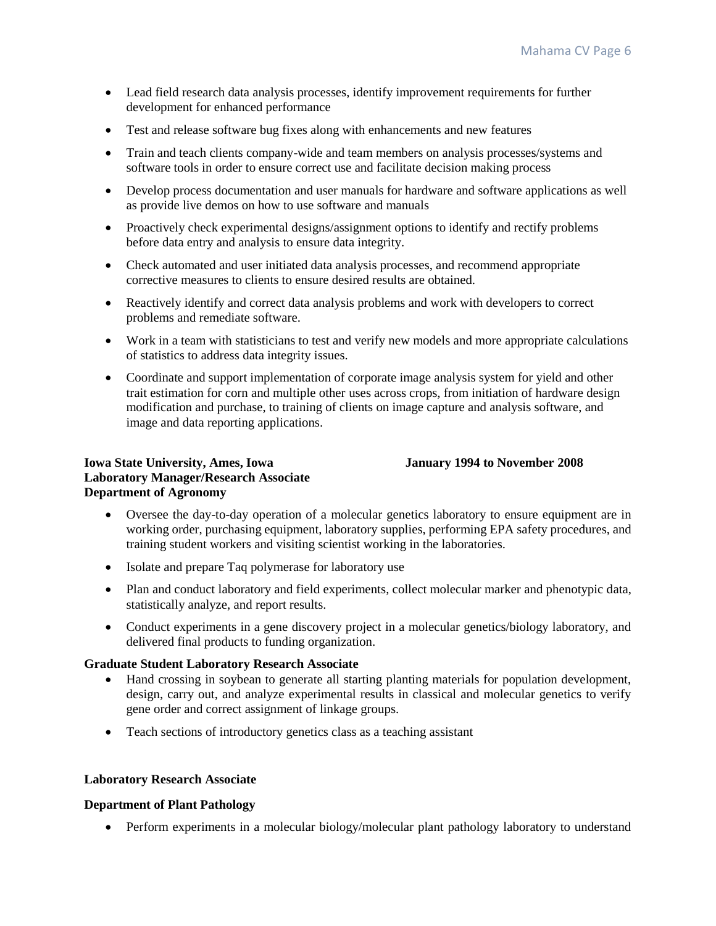- Lead field research data analysis processes, identify improvement requirements for further development for enhanced performance
- Test and release software bug fixes along with enhancements and new features
- Train and teach clients company-wide and team members on analysis processes/systems and software tools in order to ensure correct use and facilitate decision making process
- Develop process documentation and user manuals for hardware and software applications as well as provide live demos on how to use software and manuals
- Proactively check experimental designs/assignment options to identify and rectify problems before data entry and analysis to ensure data integrity.
- Check automated and user initiated data analysis processes, and recommend appropriate corrective measures to clients to ensure desired results are obtained.
- Reactively identify and correct data analysis problems and work with developers to correct problems and remediate software.
- Work in a team with statisticians to test and verify new models and more appropriate calculations of statistics to address data integrity issues.
- Coordinate and support implementation of corporate image analysis system for yield and other trait estimation for corn and multiple other uses across crops, from initiation of hardware design modification and purchase, to training of clients on image capture and analysis software, and image and data reporting applications.

# **Iowa State University, Ames, Iowa January 1994 to November 2008 Laboratory Manager/Research Associate Department of Agronomy**

# Oversee the day-to-day operation of a molecular genetics laboratory to ensure equipment are in working order, purchasing equipment, laboratory supplies, performing EPA safety procedures, and training student workers and visiting scientist working in the laboratories.

- Isolate and prepare Taq polymerase for laboratory use
- Plan and conduct laboratory and field experiments, collect molecular marker and phenotypic data, statistically analyze, and report results.
- Conduct experiments in a gene discovery project in a molecular genetics/biology laboratory, and delivered final products to funding organization.

# **Graduate Student Laboratory Research Associate**

- Hand crossing in soybean to generate all starting planting materials for population development, design, carry out, and analyze experimental results in classical and molecular genetics to verify gene order and correct assignment of linkage groups.
- Teach sections of introductory genetics class as a teaching assistant

## **Laboratory Research Associate**

## **Department of Plant Pathology**

• Perform experiments in a molecular biology/molecular plant pathology laboratory to understand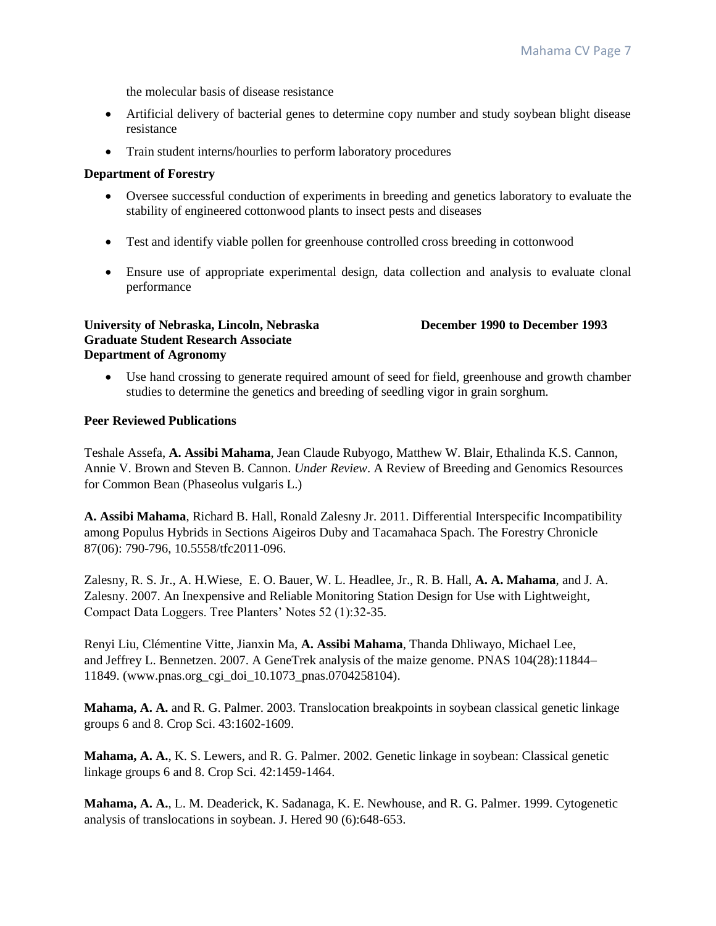the molecular basis of disease resistance

- Artificial delivery of bacterial genes to determine copy number and study soybean blight disease resistance
- Train student interns/hourlies to perform laboratory procedures

### **Department of Forestry**

- Oversee successful conduction of experiments in breeding and genetics laboratory to evaluate the stability of engineered cottonwood plants to insect pests and diseases
- Test and identify viable pollen for greenhouse controlled cross breeding in cottonwood
- Ensure use of appropriate experimental design, data collection and analysis to evaluate clonal performance

#### **University of Nebraska, Lincoln, Nebraska December 1990 to December 1993 Graduate Student Research Associate Department of Agronomy**

 Use hand crossing to generate required amount of seed for field, greenhouse and growth chamber studies to determine the genetics and breeding of seedling vigor in grain sorghum.

### **Peer Reviewed Publications**

Teshale Assefa, **A. Assibi Mahama**, Jean Claude Rubyogo, Matthew W. Blair, Ethalinda K.S. Cannon, Annie V. Brown and Steven B. Cannon. *Under Review*. A Review of Breeding and Genomics Resources for Common Bean (Phaseolus vulgaris L.)

**A. Assibi Mahama**, Richard B. Hall, Ronald Zalesny Jr. 2011. Differential Interspecific Incompatibility among Populus Hybrids in Sections Aigeiros Duby and Tacamahaca Spach. The Forestry Chronicle 87(06): 790-796, 10.5558/tfc2011-096.

Zalesny, R. S. Jr., A. H.Wiese, E. O. Bauer, W. L. Headlee, Jr., R. B. Hall, **A. A. Mahama**, and J. A. Zalesny. 2007. An Inexpensive and Reliable Monitoring Station Design for Use with Lightweight, Compact Data Loggers. Tree Planters' Notes 52 (1):32-35.

Renyi Liu, Clémentine Vitte, Jianxin Ma, **A. Assibi Mahama**, Thanda Dhliwayo, Michael Lee, and Jeffrey L. Bennetzen. 2007. A GeneTrek analysis of the maize genome. PNAS 104(28):11844– 11849. (www.pnas.org\_cgi\_doi\_10.1073\_pnas.0704258104).

**Mahama, A. A.** and R. G. Palmer. 2003. Translocation breakpoints in soybean classical genetic linkage groups 6 and 8. Crop Sci. 43:1602-1609.

**Mahama, A. A.**, K. S. Lewers, and R. G. Palmer. 2002. Genetic linkage in soybean: Classical genetic linkage groups 6 and 8. Crop Sci. 42:1459-1464.

**Mahama, A. A.**, L. M. Deaderick, K. Sadanaga, K. E. Newhouse, and R. G. Palmer. 1999. Cytogenetic analysis of translocations in soybean. J. Hered 90 (6):648-653.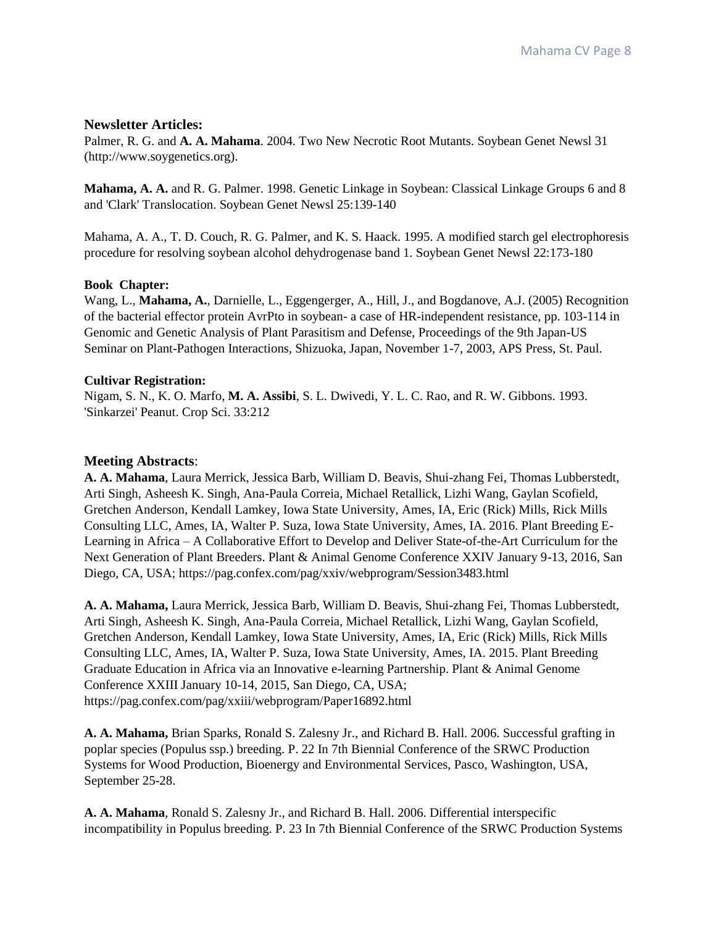### **Newsletter Articles:**

Palmer, R. G. and **A. A. Mahama**. 2004. Two New Necrotic Root Mutants. Soybean Genet Newsl 31 (http://www.soygenetics.org).

**Mahama, A. A.** and R. G. Palmer. 1998. Genetic Linkage in Soybean: Classical Linkage Groups 6 and 8 and 'Clark' Translocation. Soybean Genet Newsl 25:139-140

Mahama, A. A., T. D. Couch, R. G. Palmer, and K. S. Haack. 1995. A modified starch gel electrophoresis procedure for resolving soybean alcohol dehydrogenase band 1. Soybean Genet Newsl 22:173-180

### **Book Chapter:**

Wang, L., **Mahama, A.**, Darnielle, L., Eggengerger, A., Hill, J., and Bogdanove, A.J. (2005) Recognition of the bacterial effector protein AvrPto in soybean- a case of HR-independent resistance, pp. 103-114 in Genomic and Genetic Analysis of Plant Parasitism and Defense, Proceedings of the 9th Japan-US Seminar on Plant-Pathogen Interactions, Shizuoka, Japan, November 1-7, 2003, APS Press, St. Paul.

### **Cultivar Registration:**

Nigam, S. N., K. O. Marfo, **M. A. Assibi**, S. L. Dwivedi, Y. L. C. Rao, and R. W. Gibbons. 1993. 'Sinkarzei' Peanut. Crop Sci. 33:212

## **Meeting Abstracts**:

**A. A. Mahama**, Laura Merrick, Jessica Barb, William D. Beavis, Shui-zhang Fei, Thomas Lubberstedt, Arti Singh, Asheesh K. Singh, Ana-Paula Correia, Michael Retallick, Lizhi Wang, Gaylan Scofield, Gretchen Anderson, Kendall Lamkey, Iowa State University, Ames, IA, Eric (Rick) Mills, Rick Mills Consulting LLC, Ames, IA, Walter P. Suza, Iowa State University, Ames, IA. 2016. Plant Breeding E-Learning in Africa – A Collaborative Effort to Develop and Deliver State-of-the-Art Curriculum for the Next Generation of Plant Breeders. Plant & Animal Genome Conference XXIV January 9-13, 2016, San Diego, CA, USA; https://pag.confex.com/pag/xxiv/webprogram/Session3483.html

**A. A. Mahama,** Laura Merrick, Jessica Barb, William D. Beavis, Shui-zhang Fei, Thomas Lubberstedt, Arti Singh, Asheesh K. Singh, Ana-Paula Correia, Michael Retallick, Lizhi Wang, Gaylan Scofield, Gretchen Anderson, Kendall Lamkey, Iowa State University, Ames, IA, Eric (Rick) Mills, Rick Mills Consulting LLC, Ames, IA, Walter P. Suza, Iowa State University, Ames, IA. 2015. Plant Breeding Graduate Education in Africa via an Innovative e-learning Partnership. Plant & Animal Genome Conference XXIII January 10-14, 2015, San Diego, CA, USA; https://pag.confex.com/pag/xxiii/webprogram/Paper16892.html

**A. A. Mahama,** Brian Sparks, Ronald S. Zalesny Jr., and Richard B. Hall. 2006. Successful grafting in poplar species (Populus ssp.) breeding. P. 22 In 7th Biennial Conference of the SRWC Production Systems for Wood Production, Bioenergy and Environmental Services, Pasco, Washington, USA, September 25-28.

**A. A. Mahama**, Ronald S. Zalesny Jr., and Richard B. Hall. 2006. Differential interspecific incompatibility in Populus breeding. P. 23 In 7th Biennial Conference of the SRWC Production Systems